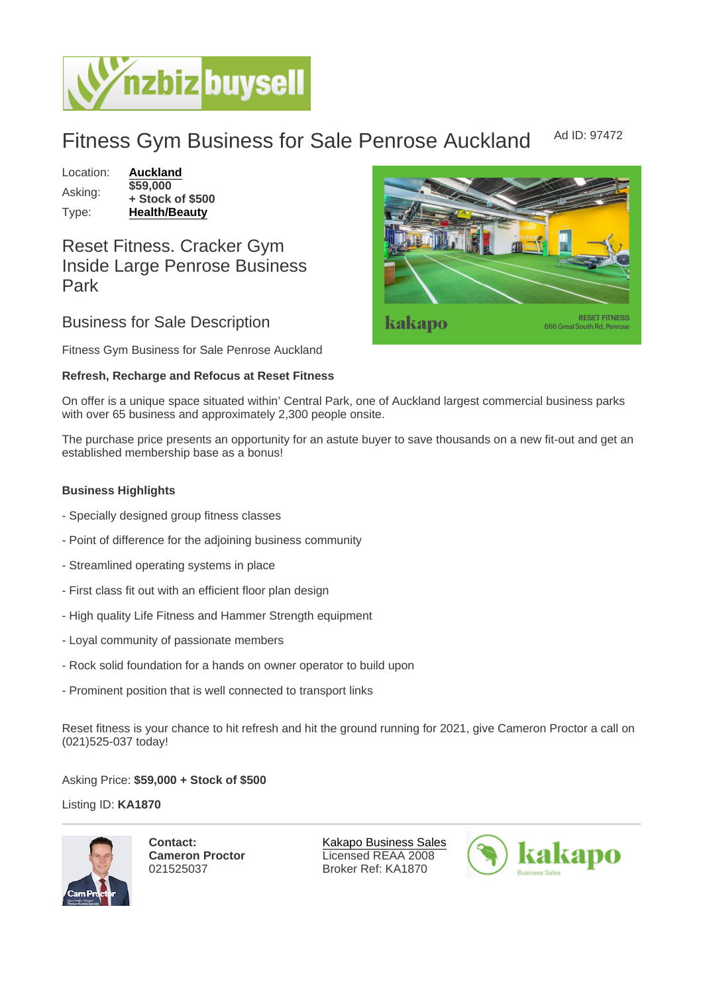## Fitness Gym Business for Sale Penrose Auckland Ad ID: 97472

Location: [Auckland](https://www.nzbizbuysell.co.nz/businesses-for-sale/location/Auckland) Asking: \$59,000 + Stock of \$500 Type: [Health/Beauty](https://www.nzbizbuysell.co.nz/businesses-for-sale/Health--Beauty/New-Zealand)

## Reset Fitness. Cracker Gym Inside Large Penrose Business Park

Business for Sale Description

Fitness Gym Business for Sale Penrose Auckland

Refresh, Recharge and Refocus at Reset Fitness

On offer is a unique space situated within' Central Park, one of Auckland largest commercial business parks with over 65 business and approximately 2,300 people onsite.

The purchase price presents an opportunity for an astute buyer to save thousands on a new fit-out and get an established membership base as a bonus!

Business Highlights

- Specially designed group fitness classes
- Point of difference for the adjoining business community
- Streamlined operating systems in place
- First class fit out with an efficient floor plan design
- High quality Life Fitness and Hammer Strength equipment
- Loyal community of passionate members
- Rock solid foundation for a hands on owner operator to build upon
- Prominent position that is well connected to transport links

Reset fitness is your chance to hit refresh and hit the ground running for 2021, give Cameron Proctor a call on (021)525-037 today!

Asking Price: \$59,000 + Stock of \$500

Listing ID: KA1870

Contact: Cameron Proctor 021525037

[Kakapo Business Sales](https://www.nzbizbuysell.co.nz/business-brokers/216/kakapo-business-sales/brokerage-listings) Licensed REAA 2008 Broker Ref: KA1870